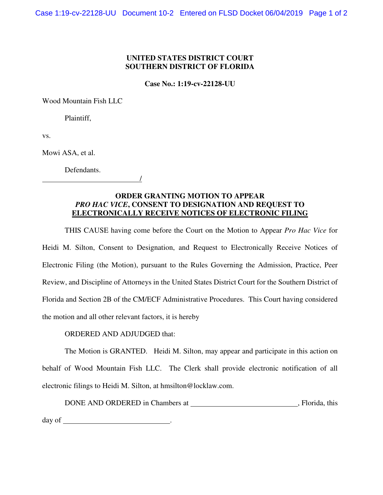## **UNITED STATES DISTRICT COURT SOUTHERN DISTRICT OF FLORIDA**

**Case No.: 1:19-cv-22128-UU** 

Wood Mountain Fish LLC

Plaintiff,

vs.

Mowi ASA, et al.

Defendants.

## **ORDER GRANTING MOTION TO APPEAR**  *PRO HAC VICE***, CONSENT TO DESIGNATION AND REQUEST TO ELECTRONICALLY RECEIVE NOTICES OF ELECTRONIC FILING**

THIS CAUSE having come before the Court on the Motion to Appear *Pro Hac Vice* for Heidi M. Silton, Consent to Designation, and Request to Electronically Receive Notices of Electronic Filing (the Motion), pursuant to the Rules Governing the Admission, Practice, Peer Review, and Discipline of Attorneys in the United States District Court for the Southern District of Florida and Section 2B of the CM/ECF Administrative Procedures. This Court having considered the motion and all other relevant factors, it is hereby

ORDERED AND ADJUDGED that:

/

The Motion is GRANTED. Heidi M. Silton, may appear and participate in this action on behalf of Wood Mountain Fish LLC. The Clerk shall provide electronic notification of all electronic filings to Heidi M. Silton, at hmsilton@locklaw.com.

DONE AND ORDERED in Chambers at , Florida, this day of the state of the state of the state of the state of the state of the state of the state of the state of the state of the state of the state of the state of the state of the state of the state of the state of the sta